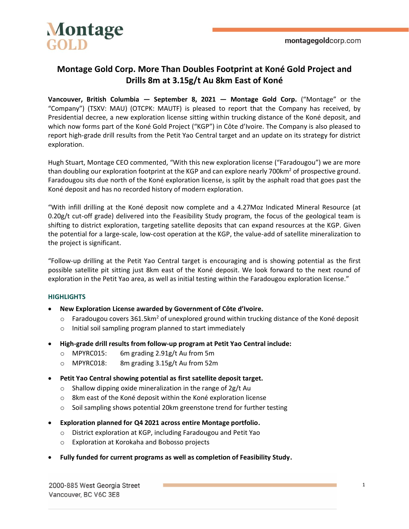

### **Montage Gold Corp. More Than Doubles Footprint at Koné Gold Project and Drills 8m at 3.15g/t Au 8km East of Koné**

**Vancouver, British Columbia — September 8, 2021 — Montage Gold Corp.** ("Montage" or the "Company") (TSXV: MAU) (OTCPK: MAUTF) is pleased to report that the Company has received, by Presidential decree, a new exploration license sitting within trucking distance of the Koné deposit, and which now forms part of the Koné Gold Project ("KGP") in Côte d'Ivoire. The Company is also pleased to report high-grade drill results from the Petit Yao Central target and an update on its strategy for district exploration.

Hugh Stuart, Montage CEO commented, "With this new exploration license ("Faradougou") we are more than doubling our exploration footprint at the KGP and can explore nearly 700km<sup>2</sup> of prospective ground. Faradougou sits due north of the Koné exploration license, is split by the asphalt road that goes past the Koné deposit and has no recorded history of modern exploration.

"With infill drilling at the Koné deposit now complete and a 4.27Moz Indicated Mineral Resource (at 0.20g/t cut-off grade) delivered into the Feasibility Study program, the focus of the geological team is shifting to district exploration, targeting satellite deposits that can expand resources at the KGP. Given the potential for a large-scale, low-cost operation at the KGP, the value-add of satellite mineralization to the project is significant.

"Follow-up drilling at the Petit Yao Central target is encouraging and is showing potential as the first possible satellite pit sitting just 8km east of the Koné deposit. We look forward to the next round of exploration in the Petit Yao area, as well as initial testing within the Faradougou exploration license."

#### **HIGHLIGHTS**

- **New Exploration License awarded by Government of Côte d'Ivoire.**
	- o Faradougou covers 361.5km<sup>2</sup> of unexplored ground within trucking distance of the Koné deposit
	- o Initial soil sampling program planned to start immediately
- **High-grade drill results from follow-up program at Petit Yao Central include:**
	- o MPYRC015: 6m grading 2.91g/t Au from 5m
	- o MPYRC018: 8m grading 3.15g/t Au from 52m
- **Petit Yao Central showing potential as first satellite deposit target.**
	- $\circ$  Shallow dipping oxide mineralization in the range of 2g/t Au
	- o 8km east of the Koné deposit within the Koné exploration license
	- o Soil sampling shows potential 20km greenstone trend for further testing
- **Exploration planned for Q4 2021 across entire Montage portfolio.**
	- o District exploration at KGP, including Faradougou and Petit Yao
	- o Exploration at Korokaha and Bobosso projects
- **Fully funded for current programs as well as completion of Feasibility Study.**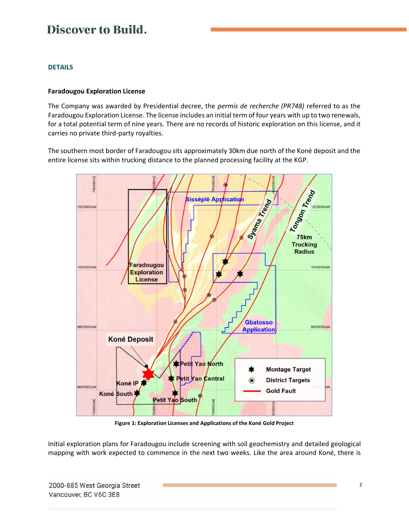#### **DETAILS**

#### **Faradougou Exploration License**

The Company was awarded by Presidential decree, the *permis de recherche (PR748)* referred to as the Faradougou Exploration License. The license includes an initial term of four years with up to two renewals, for a total potential term of nine years. There are no records of historic exploration on this license, and it carries no private third-party royalties.

The southern most border of Faradougou sits approximately 30km due north of the Koné deposit and the entire license sits within trucking distance to the planned processing facility at the KGP.



**Figure 1: Exploration Licenses and Applications of the Koné Gold Project**

Initial exploration plans for Faradougou include screening with soil geochemistry and detailed geological mapping with work expected to commence in the next two weeks. Like the area around Koné, there is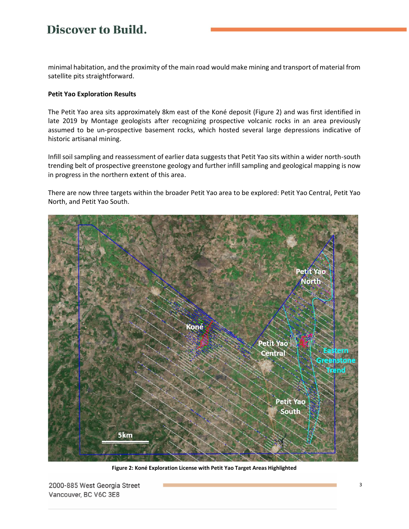minimal habitation, and the proximity of the main road would make mining and transport of material from satellite pits straightforward.

#### **Petit Yao Exploration Results**

The Petit Yao area sits approximately 8km east of the Koné deposit (Figure 2) and was first identified in late 2019 by Montage geologists after recognizing prospective volcanic rocks in an area previously assumed to be un-prospective basement rocks, which hosted several large depressions indicative of historic artisanal mining.

Infill soil sampling and reassessment of earlier data suggests that Petit Yao sits within a wider north-south trending belt of prospective greenstone geology and further infill sampling and geological mapping is now in progress in the northern extent of this area.

There are now three targets within the broader Petit Yao area to be explored: Petit Yao Central, Petit Yao North, and Petit Yao South.



**Figure 2: Koné Exploration License with Petit Yao Target Areas Highlighted**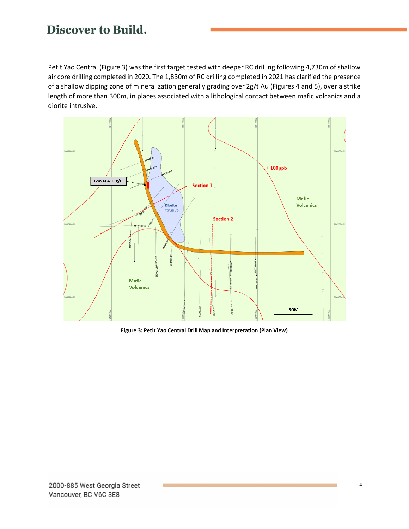Petit Yao Central (Figure 3) was the first target tested with deeper RC drilling following 4,730m of shallow air core drilling completed in 2020. The 1,830m of RC drilling completed in 2021 has clarified the presence of a shallow dipping zone of mineralization generally grading over 2g/t Au (Figures 4 and 5), over a strike length of more than 300m, in places associated with a lithological contact between mafic volcanics and a diorite intrusive.



**Figure 3: Petit Yao Central Drill Map and Interpretation (Plan View)**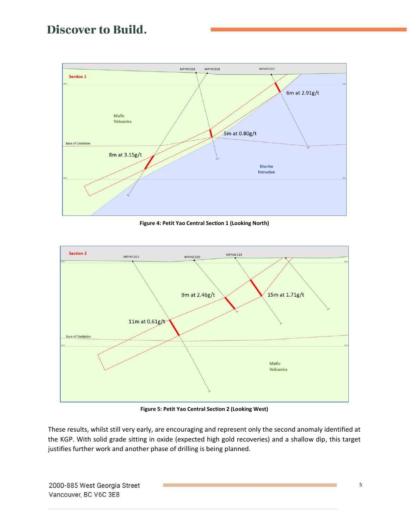

**Figure 4: Petit Yao Central Section 1 (Looking North)**



**Figure 5: Petit Yao Central Section 2 (Looking West)**

These results, whilst still very early, are encouraging and represent only the second anomaly identified at the KGP. With solid grade sitting in oxide (expected high gold recoveries) and a shallow dip, this target justifies further work and another phase of drilling is being planned.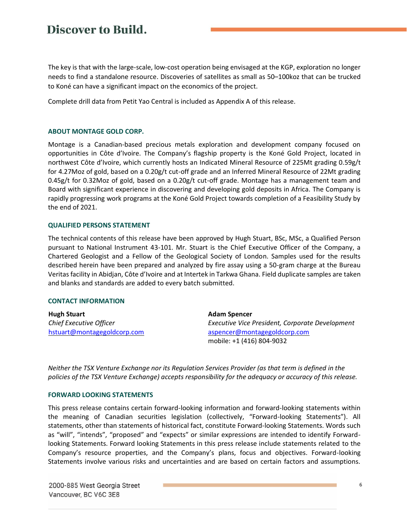The key is that with the large-scale, low-cost operation being envisaged at the KGP, exploration no longer needs to find a standalone resource. Discoveries of satellites as small as 50–100koz that can be trucked to Koné can have a significant impact on the economics of the project.

Complete drill data from Petit Yao Central is included as Appendix A of this release.

#### **ABOUT MONTAGE GOLD CORP.**

Montage is a Canadian-based precious metals exploration and development company focused on opportunities in Côte d'Ivoire. The Company's flagship property is the Koné Gold Project, located in northwest Côte d'Ivoire, which currently hosts an Indicated Mineral Resource of 225Mt grading 0.59g/t for 4.27Moz of gold, based on a 0.20g/t cut-off grade and an Inferred Mineral Resource of 22Mt grading 0.45g/t for 0.32Moz of gold, based on a 0.20g/t cut-off grade. Montage has a management team and Board with significant experience in discovering and developing gold deposits in Africa. The Company is rapidly progressing work programs at the Koné Gold Project towards completion of a Feasibility Study by the end of 2021.

#### **QUALIFIED PERSONS STATEMENT**

The technical contents of this release have been approved by Hugh Stuart, BSc, MSc, a Qualified Person pursuant to National Instrument 43-101. Mr. Stuart is the Chief Executive Officer of the Company, a Chartered Geologist and a Fellow of the Geological Society of London. Samples used for the results described herein have been prepared and analyzed by fire assay using a 50-gram charge at the Bureau Veritas facility in Abidjan, Côte d'Ivoire and at Intertek in Tarkwa Ghana. Field duplicate samples are taken and blanks and standards are added to every batch submitted.

#### **CONTACT INFORMATION**

| <b>Hugh Stuart</b>          | <b>Adam Spencer</b>                             |
|-----------------------------|-------------------------------------------------|
| Chief Executive Officer     | Executive Vice President, Corporate Development |
| hstuart@montagegoldcorp.com | aspencer@montagegoldcorp.com                    |
|                             | mobile: +1 (416) 804-9032                       |

*Neither the TSX Venture Exchange nor its Regulation Services Provider (as that term is defined in the policies of the TSX Venture Exchange) accepts responsibility for the adequacy or accuracy of this release.*

#### **FORWARD LOOKING STATEMENTS**

This press release contains certain forward-looking information and forward-looking statements within the meaning of Canadian securities legislation (collectively, "Forward-looking Statements"). All statements, other than statements of historical fact, constitute Forward-looking Statements. Words such as "will", "intends", "proposed" and "expects" or similar expressions are intended to identify Forwardlooking Statements. Forward looking Statements in this press release include statements related to the Company's resource properties, and the Company's plans, focus and objectives. Forward-looking Statements involve various risks and uncertainties and are based on certain factors and assumptions.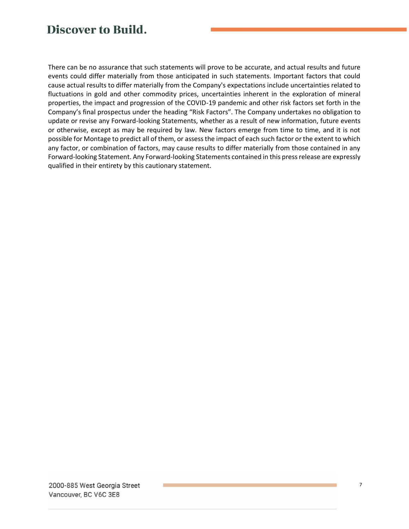There can be no assurance that such statements will prove to be accurate, and actual results and future events could differ materially from those anticipated in such statements. Important factors that could cause actual results to differ materially from the Company's expectations include uncertainties related to fluctuations in gold and other commodity prices, uncertainties inherent in the exploration of mineral properties, the impact and progression of the COVID-19 pandemic and other risk factors set forth in the Company's final prospectus under the heading "Risk Factors". The Company undertakes no obligation to update or revise any Forward-looking Statements, whether as a result of new information, future events or otherwise, except as may be required by law. New factors emerge from time to time, and it is not possible for Montage to predict all of them, or assess the impact of each such factor or the extent to which any factor, or combination of factors, may cause results to differ materially from those contained in any Forward-looking Statement. Any Forward-looking Statements contained in this press release are expressly qualified in their entirety by this cautionary statement.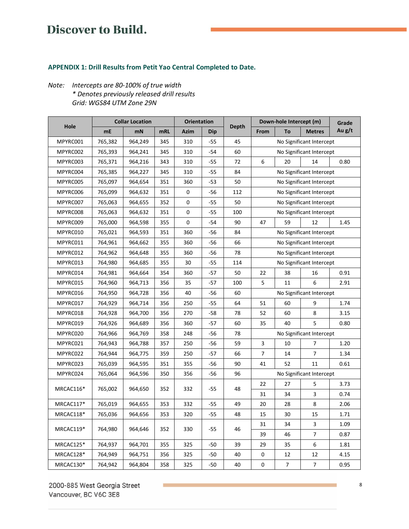### **APPENDIX 1: Drill Results from Petit Yao Central Completed to Date.**

### *Note: Intercepts are 80-100% of true width \* Denotes previously released drill results Grid: WGS84 UTM Zone 29N*

| Hole      | <b>Collar Location</b> |         |     | <b>Orientation</b> |            |              | Down-hole Intercept (m)  |                |                          | Grade  |
|-----------|------------------------|---------|-----|--------------------|------------|--------------|--------------------------|----------------|--------------------------|--------|
|           | mE                     | mN      | mRL | <b>Azim</b>        | <b>Dip</b> | <b>Depth</b> | From                     | To             | <b>Metres</b>            | Au g/t |
| MPYRC001  | 765,382                | 964,249 | 345 | 310                | $-55$      | 45           | No Significant Intercept |                |                          |        |
| MPYRC002  | 765,393                | 964,241 | 345 | 310                | $-54$      | 60           | No Significant Intercept |                |                          |        |
| MPYRC003  | 765,371                | 964,216 | 343 | 310                | $-55$      | 72           | 6                        | 20             | 14                       | 0.80   |
| MPYRC004  | 765,385                | 964,227 | 345 | 310                | -55        | 84           | No Significant Intercept |                |                          |        |
| MPYRC005  | 765,097                | 964,654 | 351 | 360                | $-53$      | 50           | No Significant Intercept |                |                          |        |
| MPYRC006  | 765,099                | 964,632 | 351 | 0                  | -56        | 112          |                          |                | No Significant Intercept |        |
| MPYRC007  | 765,063                | 964,655 | 352 | $\mathbf 0$        | $-55$      | 50           | No Significant Intercept |                |                          |        |
| MPYRC008  | 765,063                | 964,632 | 351 | 0                  | $-55$      | 100          | No Significant Intercept |                |                          |        |
| MPYRC009  | 765,000                | 964,598 | 355 | 0                  | -54        | 90           | 47                       | 59             | 12                       | 1.45   |
| MPYRC010  | 765,021                | 964,593 | 351 | 360                | -56        | 84           | No Significant Intercept |                |                          |        |
| MPYRC011  | 764,961                | 964,662 | 355 | 360                | -56        | 66           | No Significant Intercept |                |                          |        |
| MPYRC012  | 764,962                | 964,648 | 355 | 360                | -56        | 78           | No Significant Intercept |                |                          |        |
| MPYRC013  | 764,980                | 964,685 | 355 | 30                 | $-55$      | 114          | No Significant Intercept |                |                          |        |
| MPYRC014  | 764,981                | 964,664 | 354 | 360                | $-57$      | 50           | 22                       | 38             | 16                       | 0.91   |
| MPYRC015  | 764,960                | 964,713 | 356 | 35                 | $-57$      | 100          | 5                        | 11             | 6                        | 2.91   |
| MPYRC016  | 764,950                | 964,728 | 356 | 40                 | -56        | 60           | No Significant Intercept |                |                          |        |
| MPYRC017  | 764,929                | 964,714 | 356 | 250                | $-55$      | 64           | 51                       | 60             | 9                        | 1.74   |
| MPYRC018  | 764,928                | 964,700 | 356 | 270                | $-58$      | 78           | 52                       | 60             | 8                        | 3.15   |
| MPYRC019  | 764,926                | 964,689 | 356 | 360                | $-57$      | 60           | 35                       | 40             | 5                        | 0.80   |
| MPYRC020  | 764,966                | 964,769 | 358 | 248                | -56        | 78           | No Significant Intercept |                |                          |        |
| MPYRC021  | 764,943                | 964,788 | 357 | 250                | -56        | 59           | 3                        | 10             | 7                        | 1.20   |
| MPYRC022  | 764,944                | 964,775 | 359 | 250                | $-57$      | 66           | $\overline{7}$           | 14             | 7                        | 1.34   |
| MPYRC023  | 765,039                | 964,595 | 351 | 355                | -56        | 90           | 41                       | 52             | 11                       | 0.61   |
| MPYRC024  | 765,064                | 964,596 | 350 | 356                | -56        | 96           | No Significant Intercept |                |                          |        |
|           | 765,002                | 964,650 | 352 | 332                | -55        | 48           | 22                       | 27             | 5                        | 3.73   |
| MRCAC116* |                        |         |     |                    |            |              | 31                       | 34             | 3                        | 0.74   |
| MRCAC117* | 765,019                | 964,655 | 353 | 332                | $-55$      | 49           | 20                       | 28             | 8                        | 2.06   |
| MRCAC118* | 765,036                | 964,656 | 353 | 320                | $-55$      | 48           | 15                       | 30             | 15                       | 1.71   |
| MRCAC119* | 764,980                | 964,646 | 352 | 330                | $-55$      | 46           | 31                       | 34             | 3                        | 1.09   |
|           |                        |         |     |                    |            |              | 39                       | 46             | $\overline{7}$           | 0.87   |
| MRCAC125* | 764,937                | 964,701 | 355 | 325                | $-50$      | 39           | 29                       | 35             | 6                        | 1.81   |
| MRCAC128* | 764,949                | 964,751 | 356 | 325                | $-50$      | 40           | 0                        | 12             | 12                       | 4.15   |
| MRCAC130* | 764,942                | 964,804 | 358 | 325                | $-50$      | 40           | $\pmb{0}$                | $\overline{7}$ | $\overline{7}$           | 0.95   |

2000-885 West Georgia Street Vancouver, BC V6C 3E8